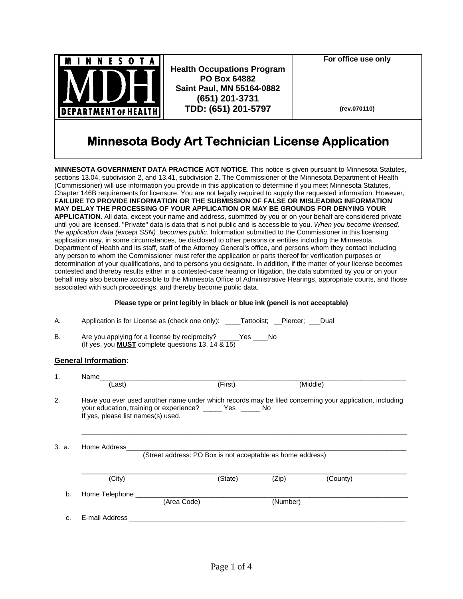

**Health Occupations Program PO Box 64882 Saint Paul, MN 55164-0882 (651) 201-3731 TDD: (651) 201-5797**

**For office use only** 

**(rev.070110)**

# **Minnesota Body Art Technician License Application**

**MINNESOTA GOVERNMENT DATA PRACTICE ACT NOTICE**. This notice is given pursuant to Minnesota Statutes, sections 13.04, subdivision 2, and 13.41, subdivision 2. The Commissioner of the Minnesota Department of Health (Commissioner) will use information you provide in this application to determine if you meet Minnesota Statutes, Chapter 146B requirements for licensure. You are not legally required to supply the requested information. However, **FAILURE TO PROVIDE INFORMATION OR THE SUBMISSION OF FALSE OR MISLEADING INFORMATION MAY DELAY THE PROCESSING OF YOUR APPLICATION OR MAY BE GROUNDS FOR DENYING YOUR APPLICATION.** All data, except your name and address, submitted by you or on your behalf are considered private until you are licensed. "Private" data is data that is not public and is accessible to you. *When you become licensed, the application data (except SSN) becomes public.* Information submitted to the Commissioner in this licensing application may, in some circumstances, be disclosed to other persons or entities including the Minnesota Department of Health and its staff, staff of the Attorney General's office, and persons whom they contact including any person to whom the Commissioner must refer the application or parts thereof for verification purposes or determination of your qualifications, and to persons you designate. In addition, if the matter of your license becomes contested and thereby results either in a contested-case hearing or litigation, the data submitted by you or on your behalf may also become accessible to the Minnesota Office of Administrative Hearings, appropriate courts, and those associated with such proceedings, and thereby become public data.

### **Please type or print legibly in black or blue ink (pencil is not acceptable)**

|  |  | Application is for License as (check one only): | ____Tattooist; __Piercer; ___Dual |  |  |
|--|--|-------------------------------------------------|-----------------------------------|--|--|
|--|--|-------------------------------------------------|-----------------------------------|--|--|

B. Are you applying for a license by reciprocity? \_\_\_\_\_Yes \_\_\_\_No (If yes, you **MUST** complete questions 13, 14 & 15)

## **General Information:**

| $\mathbf{1}$ . | Name                                                                                                                                                                                                         |                                                            |         |          |          |  |  |
|----------------|--------------------------------------------------------------------------------------------------------------------------------------------------------------------------------------------------------------|------------------------------------------------------------|---------|----------|----------|--|--|
|                | (Last)                                                                                                                                                                                                       |                                                            | (First) |          | (Middle) |  |  |
| 2.             | Have you ever used another name under which records may be filed concerning your application, including<br>your education, training or experience? ______ Yes _____ No<br>If yes, please list names(s) used. |                                                            |         |          |          |  |  |
| 3. a.          | Home Address                                                                                                                                                                                                 | (Street address: PO Box is not acceptable as home address) |         |          |          |  |  |
|                | (City)                                                                                                                                                                                                       |                                                            | (State) | (Zip)    | (County) |  |  |
| b.             | Home Telephone                                                                                                                                                                                               | (Area Code)                                                |         | (Number) |          |  |  |
| C.             | E-mail Address                                                                                                                                                                                               |                                                            |         |          |          |  |  |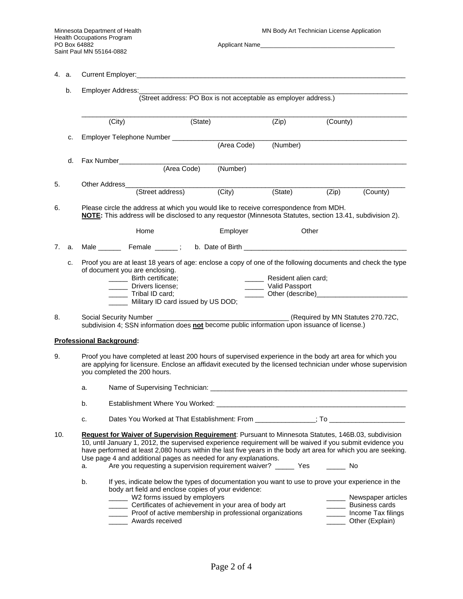|           |    | 4.<br>a.                                             |                                                                                                                                                                                                                                                                                                                                                                                                                                                                                      |  |                                 |                                                     |       |          |
|-----------|----|------------------------------------------------------|--------------------------------------------------------------------------------------------------------------------------------------------------------------------------------------------------------------------------------------------------------------------------------------------------------------------------------------------------------------------------------------------------------------------------------------------------------------------------------------|--|---------------------------------|-----------------------------------------------------|-------|----------|
|           | b. | Employer Address:                                    |                                                                                                                                                                                                                                                                                                                                                                                                                                                                                      |  |                                 |                                                     |       |          |
|           |    | (State)<br>(City)                                    |                                                                                                                                                                                                                                                                                                                                                                                                                                                                                      |  | (Zip)<br>(County)               |                                                     |       |          |
|           |    |                                                      |                                                                                                                                                                                                                                                                                                                                                                                                                                                                                      |  |                                 |                                                     |       |          |
|           | c. |                                                      | Employer Telephone Number ________________________                                                                                                                                                                                                                                                                                                                                                                                                                                   |  | (Area Code)                     | (Number)                                            |       |          |
|           | d. |                                                      |                                                                                                                                                                                                                                                                                                                                                                                                                                                                                      |  |                                 |                                                     |       |          |
|           |    |                                                      | Fax Number<br>(Area Code)                                                                                                                                                                                                                                                                                                                                                                                                                                                            |  | (Number)                        |                                                     |       |          |
| 5.        |    | Other Address_                                       |                                                                                                                                                                                                                                                                                                                                                                                                                                                                                      |  |                                 |                                                     |       |          |
|           |    |                                                      |                                                                                                                                                                                                                                                                                                                                                                                                                                                                                      |  | (Street address) (City) (State) |                                                     | (Zip) | (County) |
| 6.        |    |                                                      | Please circle the address at which you would like to receive correspondence from MDH.<br>NOTE: This address will be disclosed to any requestor (Minnesota Statutes, section 13.41, subdivision 2).                                                                                                                                                                                                                                                                                   |  |                                 |                                                     |       |          |
|           |    |                                                      | Home                                                                                                                                                                                                                                                                                                                                                                                                                                                                                 |  | Employer                        | Other                                               |       |          |
| 7.        | a. |                                                      |                                                                                                                                                                                                                                                                                                                                                                                                                                                                                      |  |                                 |                                                     |       |          |
|           |    |                                                      | _______ Birth certificate;<br>______ Drivers license;<br>_______ Tribal ID card;<br>_____ Military ID card issued by US DOD;                                                                                                                                                                                                                                                                                                                                                         |  |                                 | ______ Resident alien card;<br>_____ Valid Passport |       |          |
| 8.        |    |                                                      |                                                                                                                                                                                                                                                                                                                                                                                                                                                                                      |  |                                 | (Required by MN Statutes 270.72C,                   |       |          |
|           |    | Social Security Number <b>Social Security Number</b> | subdivision 4; SSN information does not become public information upon issuance of license.)                                                                                                                                                                                                                                                                                                                                                                                         |  |                                 |                                                     |       |          |
|           |    | <b>Professional Background:</b>                      |                                                                                                                                                                                                                                                                                                                                                                                                                                                                                      |  |                                 |                                                     |       |          |
|           |    |                                                      | Proof you have completed at least 200 hours of supervised experience in the body art area for which you<br>are applying for licensure. Enclose an affidavit executed by the licensed technician under whose supervision<br>you completed the 200 hours.                                                                                                                                                                                                                              |  |                                 |                                                     |       |          |
|           |    | a.                                                   |                                                                                                                                                                                                                                                                                                                                                                                                                                                                                      |  |                                 |                                                     |       |          |
|           |    | b.                                                   | Establishment Where You Worked:                                                                                                                                                                                                                                                                                                                                                                                                                                                      |  |                                 |                                                     |       |          |
|           |    | c.                                                   | Dates You Worked at That Establishment: From ______________; To ________________                                                                                                                                                                                                                                                                                                                                                                                                     |  |                                 |                                                     |       |          |
| 9.<br>10. |    | a.                                                   | Request for Waiver of Supervision Requirement: Pursuant to Minnesota Statutes, 146B.03, subdivision<br>10, until January 1, 2012, the supervised experience requirement will be waived if you submit evidence you<br>have performed at least 2,080 hours within the last five years in the body art area for which you are seeking.<br>Use page 4 and additional pages as needed for any explanations.<br>Are you requesting a supervision requirement waiver? ______ Yes _______ No |  |                                 |                                                     |       |          |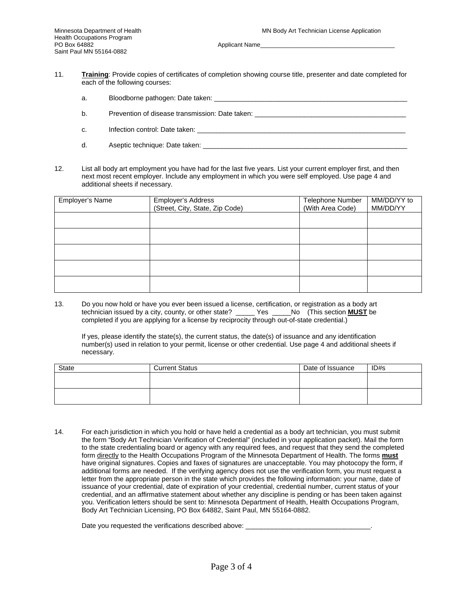Applicant Name

- 11. **Training**: Provide copies of certificates of completion showing course title, presenter and date completed for each of the following courses:
	- a. Bloodborne pathogen: Date taken: **with the example of the example of the example of the example of the example of the example of the example of the example of the example of the example of the example of the example of**
	- b. Prevention of disease transmission: Date taken: **provided** and the providence of the providence of the providence of the providence of the providence of the providence of the providence of the providence of the providen
	- c. Infection control: Date taken: \_\_\_\_\_\_\_\_\_\_\_\_\_\_\_\_\_\_\_\_\_\_\_\_\_\_\_\_\_\_\_\_\_\_\_\_\_\_\_\_\_\_\_\_\_\_\_\_\_\_\_\_\_\_\_
	- d. Aseptic technique: Date taken: \_\_\_\_\_\_\_\_\_\_\_\_\_\_\_\_\_\_\_\_\_\_\_\_\_\_\_\_\_\_\_\_\_\_\_\_\_\_\_\_\_\_\_\_\_\_\_\_\_\_\_\_\_\_
- 12. List all body art employment you have had for the last five years. List your current employer first, and then next most recent employer. Include any employment in which you were self employed. Use page 4 and additional sheets if necessary.

| Employer's Name | Employer's Address              | Telephone Number | MM/DD/YY to |
|-----------------|---------------------------------|------------------|-------------|
|                 | (Street, City, State, Zip Code) | (With Area Code) | MM/DD/YY    |
|                 |                                 |                  |             |
|                 |                                 |                  |             |
|                 |                                 |                  |             |
|                 |                                 |                  |             |
|                 |                                 |                  |             |
|                 |                                 |                  |             |
|                 |                                 |                  |             |
|                 |                                 |                  |             |
|                 |                                 |                  |             |
|                 |                                 |                  |             |

13. Do you now hold or have you ever been issued a license, certification, or registration as a body art technician issued by a city, county, or other state? \_\_\_\_\_ Yes \_\_\_\_\_No (This section **MUST** be completed if you are applying for a license by reciprocity through out-of-state credential.)

If yes, please identify the state(s), the current status, the date(s) of issuance and any identification number(s) used in relation to your permit, license or other credential. Use page 4 and additional sheets if necessary.

| State | <b>Current Status</b> | Date of Issuance | ID#s |
|-------|-----------------------|------------------|------|
|       |                       |                  |      |
|       |                       |                  |      |
|       |                       |                  |      |
|       |                       |                  |      |

14. For each jurisdiction in which you hold or have held a credential as a body art technician, you must submit the form "Body Art Technician Verification of Credential" (included in your application packet). Mail the form to the state credentialing board or agency with any required fees, and request that they send the completed form directly to the Health Occupations Program of the Minnesota Department of Health. The forms **must** have original signatures. Copies and faxes of signatures are unacceptable. You may photocopy the form, if additional forms are needed. If the verifying agency does not use the verification form, you must request a letter from the appropriate person in the state which provides the following information: your name, date of issuance of your credential, date of expiration of your credential, credential number, current status of your credential, and an affirmative statement about whether any discipline is pending or has been taken against you. Verification letters should be sent to: Minnesota Department of Health, Health Occupations Program, Body Art Technician Licensing, PO Box 64882, Saint Paul, MN 55164-0882.

Date you requested the verifications described above: